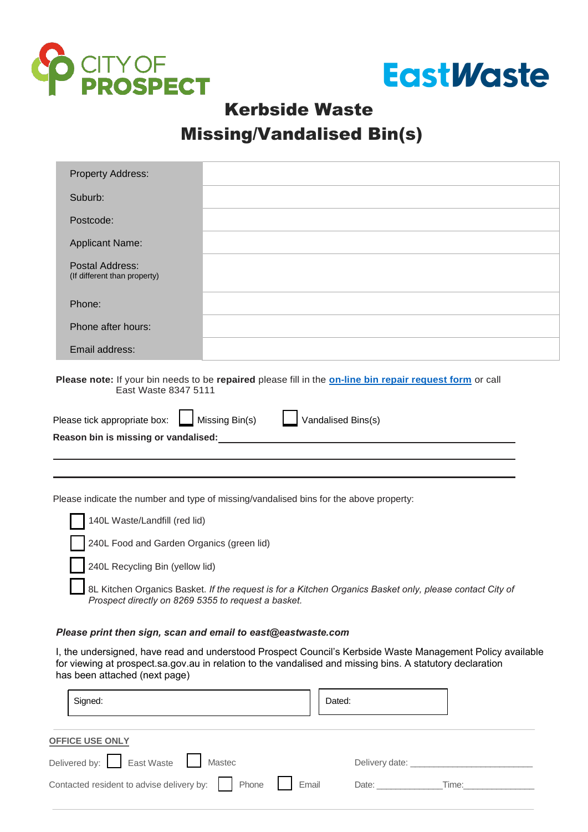



## Kerbside Waste Missing/Vandalised Bin(s)

| <b>Property Address:</b>                                                                                                         |                                      |  |  |  |  |  |
|----------------------------------------------------------------------------------------------------------------------------------|--------------------------------------|--|--|--|--|--|
| Suburb:                                                                                                                          |                                      |  |  |  |  |  |
| Postcode:                                                                                                                        |                                      |  |  |  |  |  |
| <b>Applicant Name:</b>                                                                                                           |                                      |  |  |  |  |  |
| Postal Address:<br>(If different than property)                                                                                  |                                      |  |  |  |  |  |
| Phone:                                                                                                                           |                                      |  |  |  |  |  |
| Phone after hours:                                                                                                               |                                      |  |  |  |  |  |
| Email address:                                                                                                                   |                                      |  |  |  |  |  |
| Please note: If your bin needs to be repaired please fill in the on-line bin repair request form or call<br>East Waste 8347 5111 |                                      |  |  |  |  |  |
| Please tick appropriate box:                                                                                                     | Missing Bin(s)<br>Vandalised Bins(s) |  |  |  |  |  |
| Reason bin is missing or vandalised:                                                                                             |                                      |  |  |  |  |  |

Please indicate the number and type of missing/vandalised bins for the above property:

| 140L Waste/Landfill (red lid)             |
|-------------------------------------------|
| 240L Food and Garden Organics (green lid) |

L

240L Recycling Bin (yellow lid)

8L Kitchen Organics Basket. *If the request is for a Kitchen Organics Basket only, please contact City of Prospect directly on 8269 5355 to request a basket.*

## *Please print then sign, scan and email to [east@eastwaste.com](mailto:east@eastwaste.com)*

I, the undersigned, have read and understood Prospect Council's [Kerbside Waste Management Policy](https://www.prospect.sa.gov.au/__data/assets/pdf_file/0022/106735/Kerbside_Waste_Management_Policy.pdf) available for viewing at prospect sa gov au in relation to the vandalised and missing bins. A statutory declaration has been attached (next page)

| Signed:                                                 | Dated:                         |
|---------------------------------------------------------|--------------------------------|
| <b>OFFICE USE ONLY</b>                                  |                                |
| Delivered by: East Waste   Mastec                       | Delivery date: _______________ |
| Contacted resident to advise delivery by: Phone   Email | Date: _____________<br>Time:   |